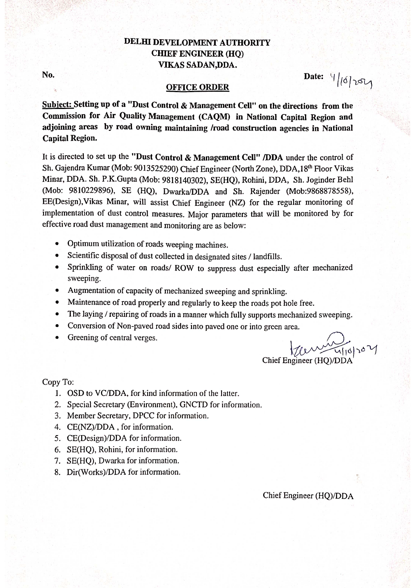## DELHI DEVELOPMENT AUTHORITY **CHIEF ENGINEER (HQ)** VIKAS SADAN, DDA.

No.

# Date:  $9/6/254$

#### **OFFICE ORDER**

Subject: Setting up of a "Dust Control & Management Cell" on the directions from the Commission for Air Quality Management (CAQM) in National Capital Region and adjoining areas by road owning maintaining /road construction agencies in National **Capital Region.** 

It is directed to set up the "Dust Control & Management Cell" /DDA under the control of Sh. Gajendra Kumar (Mob: 9013525290) Chief Engineer (North Zone), DDA, 18th Floor Vikas Minar, DDA. Sh. P.K.Gupta (Mob: 9818140302), SE(HQ), Rohini, DDA, Sh. Joginder Behl (Mob: 9810229896), SE (HQ), Dwarka/DDA and Sh. Rajender (Mob:9868878558), EE(Design), Vikas Minar, will assist Chief Engineer (NZ) for the regular monitoring of implementation of dust control measures. Major parameters that will be monitored by for effective road dust management and monitoring are as below:

- Optimum utilization of roads weeping machines.  $\bullet$
- Scientific disposal of dust collected in designated sites / landfills.  $\bullet$
- Sprinkling of water on roads/ ROW to suppress dust especially after mechanized sweeping.
- Augmentation of capacity of mechanized sweeping and sprinkling.
- Maintenance of road properly and regularly to keep the roads pot hole free.
- The laying / repairing of roads in a manner which fully supports mechanized sweeping.
- Conversion of Non-paved road sides into paved one or into green area.
- Greening of central verges.

 $27 - 4101004$ Chief Engineer (HO)/DDA

Copy To:

- 1. OSD to VC/DDA, for kind information of the latter.
- 2. Special Secretary (Environment), GNCTD for information.
- 3. Member Secretary, DPCC for information.
- 4. CE(NZ)/DDA, for information.
- 5. CE(Design)/DDA for information.
- 6. SE(HO), Rohini, for information.
- 7. SE(HQ), Dwarka for information.
- 8. Dir(Works)/DDA for information.

Chief Engineer (HO)/DDA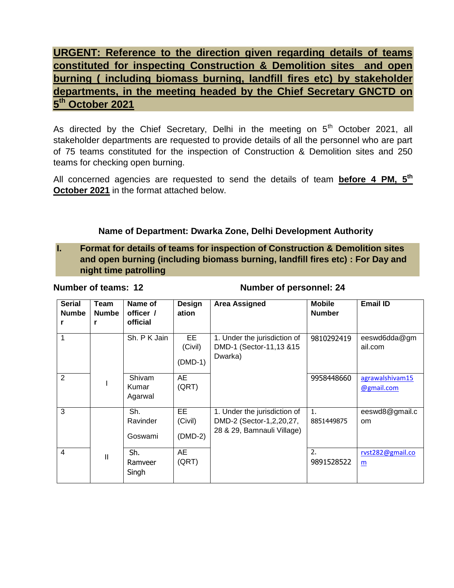**URGENT: Reference to the direction given regarding details of teams constituted for inspecting Construction & Demolition sites and open burning ( including biomass burning, landfill fires etc) by stakeholder departments, in the meeting headed by the Chief Secretary GNCTD on 5 th October 2021**

As directed by the Chief Secretary, Delhi in the meeting on  $5<sup>th</sup>$  October 2021, all stakeholder departments are requested to provide details of all the personnel who are part of 75 teams constituted for the inspection of Construction & Demolition sites and 250 teams for checking open burning.

All concerned agencies are requested to send the details of team **before 4 PM, 5th October 2021** in the format attached below.

### **Name of Department: Dwarka Zone, Delhi Development Authority**

**I. Format for details of teams for inspection of Construction & Demolition sites and open burning (including biomass burning, landfill fires etc) : For Day and night time patrolling**

#### **Number of teams: 12 Number of personnel: 24**

| <b>Serial</b><br><b>Numbe</b> | Team<br><b>Numbe</b><br>r | Name of<br>officer /<br>official | Design<br>ation             | <b>Area Assigned</b>                                                                   | <b>Mobile</b><br><b>Number</b> | <b>Email ID</b>                 |
|-------------------------------|---------------------------|----------------------------------|-----------------------------|----------------------------------------------------------------------------------------|--------------------------------|---------------------------------|
| $\mathbf{1}$                  |                           | Sh. P K Jain                     | EE.<br>(Civil)<br>(DMD-1)   | 1. Under the jurisdiction of<br>DMD-1 (Sector-11,13 &15<br>Dwarka)                     | 9810292419                     | eeswd6dda@gm<br>ail.com         |
| 2                             |                           | Shivam<br>Kumar<br>Agarwal       | AE<br>(QRT)                 |                                                                                        | 9958448660                     | agrawalshivam15<br>@gmail.com   |
| 3                             |                           | Sh.<br>Ravinder<br>Goswami       | EE.<br>(Civil)<br>$(DMD-2)$ | 1. Under the jurisdiction of<br>DMD-2 (Sector-1,2,20,27,<br>28 & 29, Bamnauli Village) | 1.<br>8851449875               | eeswd8@gmail.c<br><sub>om</sub> |
| $\overline{4}$                | Ш                         | Sh.<br>Ramveer<br>Singh          | AE<br>(QRT)                 |                                                                                        | 2.<br>9891528522               | rvst282@gmail.co<br>m           |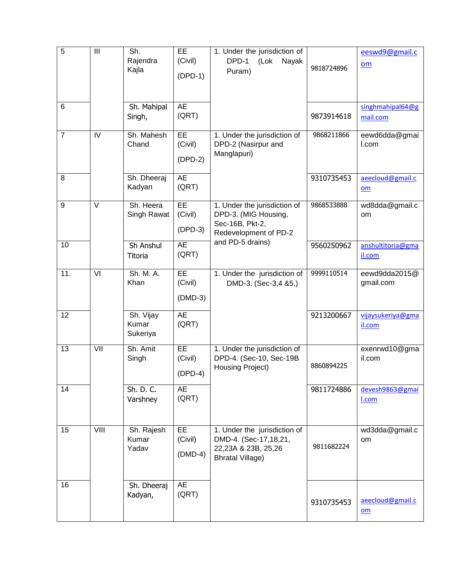| $\overline{5}$ | $\mathbf{III}$ | Sh.<br>Rajendra<br>Kajla       | EE<br>(Civil)<br>$(DPD-1)$ | 1. Under the jurisdiction of<br>DPD-1<br>(Lok<br>Nayak<br>Puram)                                          | 9818724896 | eeswd9@gmail.c<br>$om$       |
|----------------|----------------|--------------------------------|----------------------------|-----------------------------------------------------------------------------------------------------------|------------|------------------------------|
| 6              |                | Sh. Mahipal<br>Singh,          | <b>AE</b><br>(QRT)         |                                                                                                           | 9873914618 | singhmahipal64@g<br>mail.com |
| $\overline{7}$ | IV             | Sh. Mahesh<br>Chand            | EE<br>(Civil)<br>$(DPD-2)$ | 1. Under the jurisdiction of<br>DPD-2 (Nasirpur and<br>Manglapuri)                                        | 9868211866 | eewd6dda@gmai<br>I.com       |
| 8              |                | Sh. Dheeraj<br>Kadyan          | <b>AE</b><br>(QRT)         |                                                                                                           | 9310735453 | aeecloud@gmail.c<br>om       |
| 9              | $\vee$         | Sh. Heera<br>Singh Rawat       | EE<br>(Civil)<br>$(DPD-3)$ | 1. Under the jurisdiction of<br>DPD-3. (MIG Housing,<br>Sec-16B, Pkt-2,<br>Redevelopment of PD-2          | 9868533888 | wd8dda@gmail.c<br>om         |
| 10             |                | Sh Anshul<br>Titoria           | <b>AE</b><br>(QRT)         | and PD-5 drains)                                                                                          | 9560250962 | anshultitoria@gma<br>il.com  |
| 11.            | VI             | Sh. M. A.<br>Khan              | EE<br>(Civil)<br>$(DMD-3)$ | 1. Under the jurisdiction of<br>DMD-3. (Sec-3,4 &5,)                                                      | 9999110514 | eewd9dda2015@<br>gmail.com   |
| 12             |                | Sh. Vijay<br>Kumar<br>Sukeriya | <b>AE</b><br>(QRT)         |                                                                                                           | 9213200667 | vijaysukeriya@gma<br>il.com  |
| 13             | VII            | Sh. Amit<br>Singh              | EE<br>(Civil)<br>$(DPD-4)$ | 1. Under the jurisdiction of<br>DPD-4. (Sec-10, Sec-19B<br>Housing Project)                               | 8860894225 | exenrwd10@gma<br>il.com      |
| 14             |                | Sh. D. C.<br>Varshney          | <b>AE</b><br>(QRT)         |                                                                                                           | 9811724886 | devesh9863@gmai<br>I.com     |
| 15             | VIII           | Sh. Rajesh<br>Kumar<br>Yadav   | EE<br>(Civil)<br>$(DMD-4)$ | 1. Under the jurisdiction of<br>DMD-4. (Sec-17, 18, 21,<br>22,23A & 23B, 25,26<br><b>Bhratal Village)</b> | 9811682224 | wd3dda@gmail.c<br>om         |
| 16             |                | Sh. Dheeraj<br>Kadyan,         | <b>AE</b><br>(QRT)         |                                                                                                           | 9310735453 | aeecloud@gmail.c<br>om       |